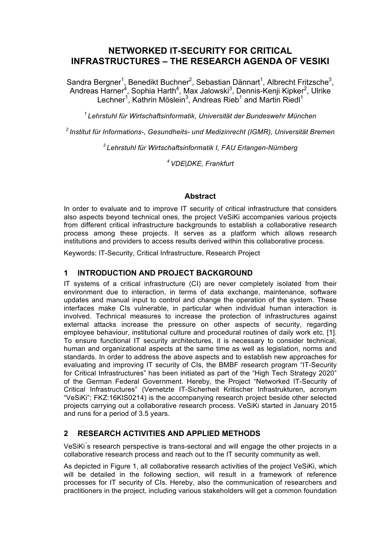# **NETWORKED IT-SECURITY FOR CRITICAL INFRASTRUCTURES – THE RESEARCH AGENDA OF VESIKI**

Sandra Bergner<sup>1</sup>, Benedikt Buchner<sup>2</sup>, Sebastian Dännart<sup>1</sup>, Albrecht Fritzsche<sup>3</sup>, Andreas Harner<sup>4</sup>, Sophia Harth<sup>4</sup>, Max Jalowski<sup>3</sup>, Dennis-Kenji Kipker<sup>2</sup>, Ulrike Lechner<sup>1</sup>, Kathrin Möslein<sup>3</sup>, Andreas Rieb<sup>1</sup> and Martin Riedl<sup>1</sup>

*1 Lehrstuhl für Wirtschaftsinformatik, Universität der Bundeswehr München* 

*2 Institut für Informations-, Gesundheits- und Medizinrecht (IGMR), Universität Bremen* 

*<sup>3</sup> Lehrstuhl für Wirtschaftsinformatik I, FAU Erlangen-Nürnberg*

*<sup>4</sup> VDE|DKE, Frankfurt*

#### **Abstract**

In order to evaluate and to improve IT security of critical infrastructure that considers also aspects beyond technical ones, the project VeSiKi accompanies various projects from different critical infrastructure backgrounds to establish a collaborative research process among these projects. It serves as a platform which allows research institutions and providers to access results derived within this collaborative process.

Keywords: IT-Security, Critical Infrastructure, Research Project

#### **1 INTRODUCTION AND PROJECT BACKGROUND**

IT systems of a critical infrastructure (CI) are never completely isolated from their environment due to interaction, in terms of data exchange, maintenance, software updates and manual input to control and change the operation of the system. These interfaces make CIs vulnerable, in particular when individual human interaction is involved. Technical measures to increase the protection of infrastructures against external attacks increase the pressure on other aspects of security, regarding employee behaviour, institutional culture and procedural routines of daily work etc. [1]. To ensure functional IT security architectures, it is necessary to consider technical, human and organizational aspects at the same time as well as legislation, norms and standards. In order to address the above aspects and to establish new approaches for evaluating and improving IT security of CIs, the BMBF research program "IT-Security for Critical Infrastructures" has been initiated as part of the "High Tech Strategy 2020" of the German Federal Government. Hereby, the Project "Networked IT-Security of Critical Infrastructures" (Vernetzte IT-Sicherheit Kritischer Infrastrukturen, acronym "VeSiKi"; FKZ:16KIS0214) is the accompanying research project beside other selected projects carrying out a collaborative research process. VeSiKi started in January 2015 and runs for a period of 3.5 years.

# **2 RESEARCH ACTIVITIES AND APPLIED METHODS**

VeSiKi's research perspective is trans-sectoral and will engage the other projects in a collaborative research process and reach out to the IT security community as well.

As depicted in Figure 1, all collaborative research activities of the project VeSiKi, which will be detailed in the following section, will result in a framework of reference processes for IT security of CIs. Hereby, also the communication of researchers and practitioners in the project, including various stakeholders will get a common foundation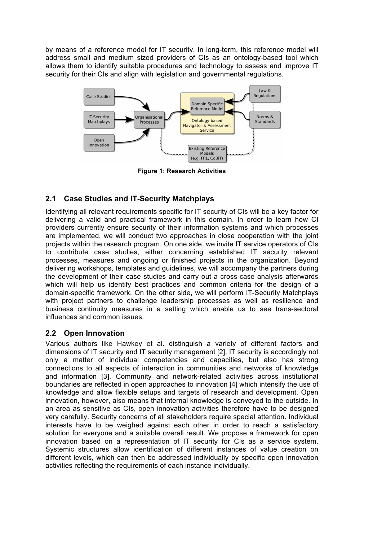by means of a reference model for IT security. In long-term, this reference model will address small and medium sized providers of CIs as an ontology-based tool which allows them to identify suitable procedures and technology to assess and improve IT security for their CIs and align with legislation and governmental regulations.



**Figure 1: Research Activities**

# **2.1 Case Studies and IT-Security Matchplays**

Identifying all relevant requirements specific for IT security of CIs will be a key factor for delivering a valid and practical framework in this domain. In order to learn how CI providers currently ensure security of their information systems and which processes are implemented, we will conduct two approaches in close cooperation with the joint projects within the research program. On one side, we invite IT service operators of CIs to contribute case studies, either concerning established IT security relevant processes, measures and ongoing or finished projects in the organization. Beyond delivering workshops, templates and guidelines, we will accompany the partners during the development of their case studies and carry out a cross-case analysis afterwards which will help us identify best practices and common criteria for the design of a domain-specific framework. On the other side, we will perform IT-Security Matchplays with project partners to challenge leadership processes as well as resilience and business continuity measures in a setting which enable us to see trans-sectoral influences and common issues.

# **2.2 Open Innovation**

Various authors like Hawkey et al. distinguish a variety of different factors and dimensions of IT security and IT security management [2]. IT security is accordingly not only a matter of individual competencies and capacities, but also has strong connections to all aspects of interaction in communities and networks of knowledge and information [3]. Community and network-related activities across institutional boundaries are reflected in open approaches to innovation [4] which intensify the use of knowledge and allow flexible setups and targets of research and development. Open innovation, however, also means that internal knowledge is conveyed to the outside. In an area as sensitive as CIs, open innovation activities therefore have to be designed very carefully. Security concerns of all stakeholders require special attention. Individual interests have to be weighed against each other in order to reach a satisfactory solution for everyone and a suitable overall result. We propose a framework for open innovation based on a representation of IT security for CIs as a service system. Systemic structures allow identification of different instances of value creation on different levels, which can then be addressed individually by specific open innovation activities reflecting the requirements of each instance individually.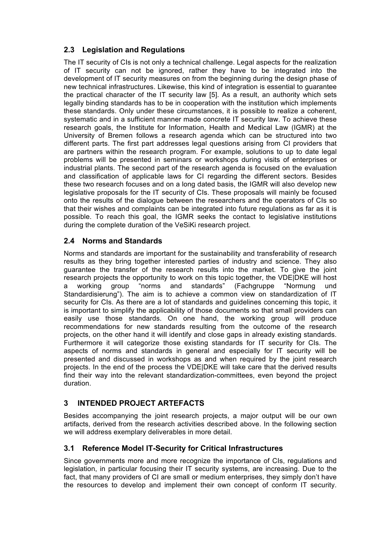# **2.3 Legislation and Regulations**

The IT security of CIs is not only a technical challenge. Legal aspects for the realization of IT security can not be ignored, rather they have to be integrated into the development of IT security measures on from the beginning during the design phase of new technical infrastructures. Likewise, this kind of integration is essential to guarantee the practical character of the IT security law [5]. As a result, an authority which sets legally binding standards has to be in cooperation with the institution which implements these standards. Only under these circumstances, it is possible to realize a coherent, systematic and in a sufficient manner made concrete IT security law. To achieve these research goals, the Institute for Information, Health and Medical Law (IGMR) at the University of Bremen follows a research agenda which can be structured into two different parts. The first part addresses legal questions arising from CI providers that are partners within the research program. For example, solutions to up to date legal problems will be presented in seminars or workshops during visits of enterprises or industrial plants. The second part of the research agenda is focused on the evaluation and classification of applicable laws for CI regarding the different sectors. Besides these two research focuses and on a long dated basis, the IGMR will also develop new legislative proposals for the IT security of CIs. These proposals will mainly be focused onto the results of the dialogue between the researchers and the operators of CIs so that their wishes and complaints can be integrated into future regulations as far as it is possible. To reach this goal, the IGMR seeks the contact to legislative institutions during the complete duration of the VeSiKi research project.

# **2.4 Norms and Standards**

Norms and standards are important for the sustainability and transferability of research results as they bring together interested parties of industry and science. They also guarantee the transfer of the research results into the market. To give the joint research projects the opportunity to work on this topic together, the VDE|DKE will host a working group "norms and standards" (Fachgruppe "Normung und Standardisierung"). The aim is to achieve a common view on standardization of IT security for CIs. As there are a lot of standards and guidelines concerning this topic, it is important to simplify the applicability of those documents so that small providers can easily use those standards. On one hand, the working group will produce recommendations for new standards resulting from the outcome of the research projects, on the other hand it will identify and close gaps in already existing standards. Furthermore it will categorize those existing standards for IT security for CIs. The aspects of norms and standards in general and especially for IT security will be presented and discussed in workshops as and when required by the joint research projects. In the end of the process the VDE|DKE will take care that the derived results find their way into the relevant standardization-committees, even beyond the project duration.

# **3 INTENDED PROJECT ARTEFACTS**

Besides accompanying the joint research projects, a major output will be our own artifacts, derived from the research activities described above. In the following section we will address exemplary deliverables in more detail.

# **3.1 Reference Model IT-Security for Critical Infrastructures**

Since governments more and more recognize the importance of CIs, regulations and legislation, in particular focusing their IT security systems, are increasing. Due to the fact, that many providers of CI are small or medium enterprises, they simply don't have the resources to develop and implement their own concept of conform IT security.